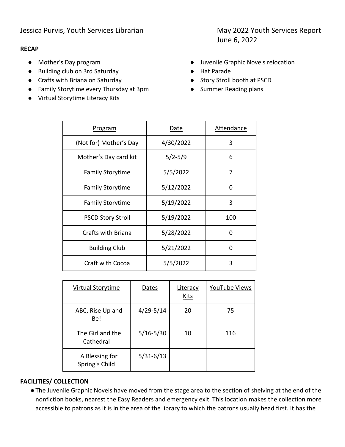#### **RECAP**

- Mother's Day program
- Building club on 3rd Saturday
- Crafts with Briana on Saturday
- Family Storytime every Thursday at 3pm
- Virtual Storytime Literacy Kits

June 6, 2022

- Juvenile Graphic Novels relocation
- Hat Parade
- Story Stroll booth at PSCD
- Summer Reading plans

| <b>Program</b>           | Date        | Attendance |
|--------------------------|-------------|------------|
| (Not for) Mother's Day   | 4/30/2022   | 3          |
| Mother's Day card kit    | $5/2 - 5/9$ | 6          |
| <b>Family Storytime</b>  | 5/5/2022    | 7          |
| <b>Family Storytime</b>  | 5/12/2022   | 0          |
| <b>Family Storytime</b>  | 5/19/2022   | 3          |
| <b>PSCD Story Stroll</b> | 5/19/2022   | 100        |
| Crafts with Briana       | 5/28/2022   | 0          |
| <b>Building Club</b>     | 5/21/2022   | 0          |
| <b>Craft with Cocoa</b>  | 5/5/2022    | 3          |

| Virtual Storytime                | Dates         | Literacy<br>Kits | YouTube Views |
|----------------------------------|---------------|------------------|---------------|
| ABC, Rise Up and<br>Be!          | $4/29 - 5/14$ | 20               | 75            |
| The Girl and the<br>Cathedral    | $5/16 - 5/30$ | 10               | 116           |
| A Blessing for<br>Spring's Child | $5/31 - 6/13$ |                  |               |

#### **FACILITIES/ COLLECTION**

●The Juvenile Graphic Novels have moved from the stage area to the section of shelving at the end of the nonfiction books, nearest the Easy Readers and emergency exit. This location makes the collection more accessible to patrons as it is in the area of the library to which the patrons usually head first. It has the